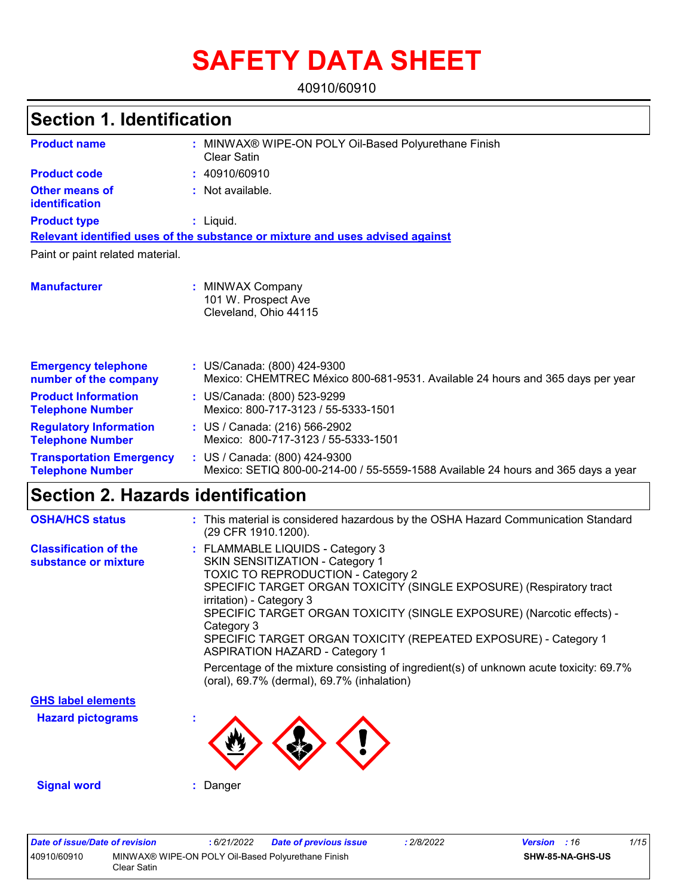# **SAFETY DATA SHEET**

40910/60910

#### MINWAX® WIPE-ON POLY Oil-Based Polyurethane Finish **:** Clear Satin Not available. **:** Liquid. **:** US/Canada: (800) 424-9300 **:** Mexico: CHEMTREC México 800-681-9531. Available 24 hours and 365 days per year **Product name Other means of identification Product type Emergency telephone number of the company Section 1. Identification Manufacturer :** MINWAX Company 101 W. Prospect Ave Cleveland, Ohio 44115 **Relevant identified uses of the substance or mixture and uses advised against** Paint or paint related material. **Product code :** 40910/60910 **Product Information Telephone Number :** US/Canada: (800) 523-9299 Mexico: 800-717-3123 / 55-5333-1501 **Regulatory Information Telephone Number :** US / Canada: (216) 566-2902 Mexico: 800-717-3123 / 55-5333-1501 **Transportation Emergency Telephone Number :** US / Canada: (800) 424-9300 Mexico: SETIQ 800-00-214-00 / 55-5559-1588 Available 24 hours and 365 days a year **Section 2. Hazards identification OSHA/HCS status :** This material is considered hazardous by the OSHA Hazard Communication Standard

|                                                      | (29 CFR 1910.1200).                                                                                                                                                                                                                                                                                                                                                                                                    |
|------------------------------------------------------|------------------------------------------------------------------------------------------------------------------------------------------------------------------------------------------------------------------------------------------------------------------------------------------------------------------------------------------------------------------------------------------------------------------------|
| <b>Classification of the</b><br>substance or mixture | : FLAMMABLE LIQUIDS - Category 3<br><b>SKIN SENSITIZATION - Category 1</b><br>TOXIC TO REPRODUCTION - Category 2<br>SPECIFIC TARGET ORGAN TOXICITY (SINGLE EXPOSURE) (Respiratory tract<br>irritation) - Category 3<br>SPECIFIC TARGET ORGAN TOXICITY (SINGLE EXPOSURE) (Narcotic effects) -<br>Category 3<br>SPECIFIC TARGET ORGAN TOXICITY (REPEATED EXPOSURE) - Category 1<br><b>ASPIRATION HAZARD - Category 1</b> |
|                                                      | Percentage of the mixture consisting of ingredient(s) of unknown acute toxicity: 69.7%<br>(oral), 69.7% (dermal), 69.7% (inhalation)                                                                                                                                                                                                                                                                                   |
| <b>GHS label elements</b>                            |                                                                                                                                                                                                                                                                                                                                                                                                                        |
| <b>Hazard pictograms</b>                             |                                                                                                                                                                                                                                                                                                                                                                                                                        |
| <b>Signal word</b>                                   | : Danger                                                                                                                                                                                                                                                                                                                                                                                                               |

| Date of issue/Date of revision |                                                                    | : 6/21/2022 | <b>Date of previous issue</b> | .2/8/2022 | <b>Version</b> : 16 |                         | 1/15 |
|--------------------------------|--------------------------------------------------------------------|-------------|-------------------------------|-----------|---------------------|-------------------------|------|
| 40910/60910                    | MINWAX® WIPE-ON POLY Oil-Based Polyurethane Finish<br>Clear Satin_ |             |                               |           |                     | <b>SHW-85-NA-GHS-US</b> |      |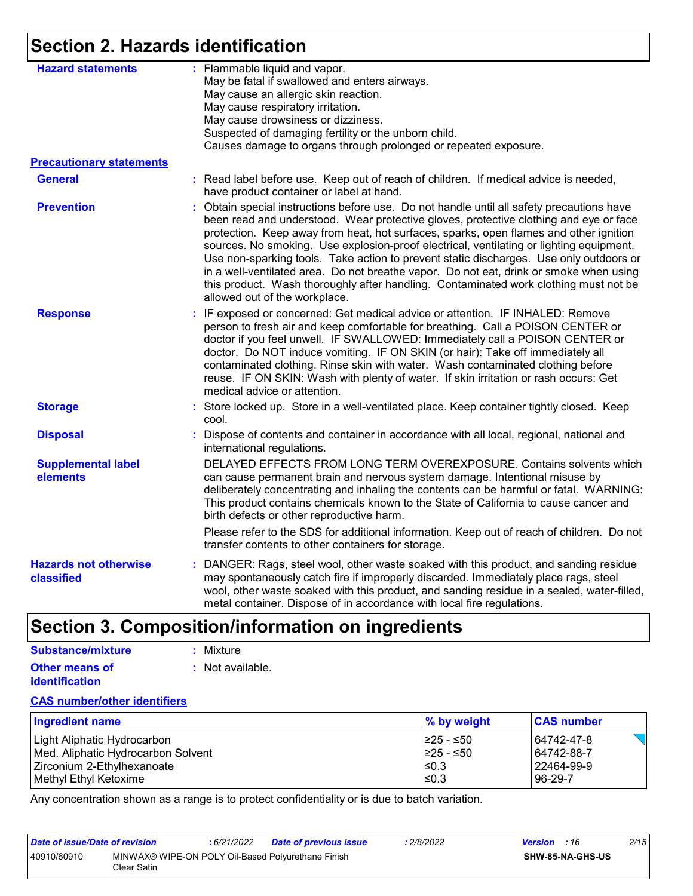### **Section 2. Hazards identification**

| <b>Hazard statements</b>                   | : Flammable liquid and vapor.<br>May be fatal if swallowed and enters airways.<br>May cause an allergic skin reaction.<br>May cause respiratory irritation.<br>May cause drowsiness or dizziness.<br>Suspected of damaging fertility or the unborn child.<br>Causes damage to organs through prolonged or repeated exposure.                                                                                                                                                                                                                                                                                                                                                        |
|--------------------------------------------|-------------------------------------------------------------------------------------------------------------------------------------------------------------------------------------------------------------------------------------------------------------------------------------------------------------------------------------------------------------------------------------------------------------------------------------------------------------------------------------------------------------------------------------------------------------------------------------------------------------------------------------------------------------------------------------|
| <b>Precautionary statements</b>            |                                                                                                                                                                                                                                                                                                                                                                                                                                                                                                                                                                                                                                                                                     |
| <b>General</b>                             | : Read label before use. Keep out of reach of children. If medical advice is needed,<br>have product container or label at hand.                                                                                                                                                                                                                                                                                                                                                                                                                                                                                                                                                    |
| <b>Prevention</b>                          | : Obtain special instructions before use. Do not handle until all safety precautions have<br>been read and understood. Wear protective gloves, protective clothing and eye or face<br>protection. Keep away from heat, hot surfaces, sparks, open flames and other ignition<br>sources. No smoking. Use explosion-proof electrical, ventilating or lighting equipment.<br>Use non-sparking tools. Take action to prevent static discharges. Use only outdoors or<br>in a well-ventilated area. Do not breathe vapor. Do not eat, drink or smoke when using<br>this product. Wash thoroughly after handling. Contaminated work clothing must not be<br>allowed out of the workplace. |
| <b>Response</b>                            | : IF exposed or concerned: Get medical advice or attention. IF INHALED: Remove<br>person to fresh air and keep comfortable for breathing. Call a POISON CENTER or<br>doctor if you feel unwell. IF SWALLOWED: Immediately call a POISON CENTER or<br>doctor. Do NOT induce vomiting. IF ON SKIN (or hair): Take off immediately all<br>contaminated clothing. Rinse skin with water. Wash contaminated clothing before<br>reuse. IF ON SKIN: Wash with plenty of water. If skin irritation or rash occurs: Get<br>medical advice or attention.                                                                                                                                      |
| <b>Storage</b>                             | : Store locked up. Store in a well-ventilated place. Keep container tightly closed. Keep<br>cool.                                                                                                                                                                                                                                                                                                                                                                                                                                                                                                                                                                                   |
| <b>Disposal</b>                            | : Dispose of contents and container in accordance with all local, regional, national and<br>international regulations.                                                                                                                                                                                                                                                                                                                                                                                                                                                                                                                                                              |
| <b>Supplemental label</b><br>elements      | DELAYED EFFECTS FROM LONG TERM OVEREXPOSURE. Contains solvents which<br>can cause permanent brain and nervous system damage. Intentional misuse by<br>deliberately concentrating and inhaling the contents can be harmful or fatal. WARNING:<br>This product contains chemicals known to the State of California to cause cancer and<br>birth defects or other reproductive harm.                                                                                                                                                                                                                                                                                                   |
|                                            | Please refer to the SDS for additional information. Keep out of reach of children. Do not<br>transfer contents to other containers for storage.                                                                                                                                                                                                                                                                                                                                                                                                                                                                                                                                     |
| <b>Hazards not otherwise</b><br>classified | : DANGER: Rags, steel wool, other waste soaked with this product, and sanding residue<br>may spontaneously catch fire if improperly discarded. Immediately place rags, steel<br>wool, other waste soaked with this product, and sanding residue in a sealed, water-filled,<br>metal container. Dispose of in accordance with local fire regulations.                                                                                                                                                                                                                                                                                                                                |

## **Section 3. Composition/information on ingredients**

#### **Other means of identification :** Not available. **Substance/mixture :** Mixture

#### **CAS number/other identifiers**

| <b>Ingredient name</b>             | % by weight | <b>CAS number</b> |
|------------------------------------|-------------|-------------------|
| Light Aliphatic Hydrocarbon        | I≥25 - ≤50  | 64742-47-8        |
| Med. Aliphatic Hydrocarbon Solvent | 1≥25 - ≤50  | 64742-88-7        |
| Zirconium 2-Ethylhexanoate         | l≤0.3       | 22464-99-9        |
| Methyl Ethyl Ketoxime              | l≤0.3       | 96-29-7           |

Any concentration shown as a range is to protect confidentiality or is due to batch variation.

| Date of issue/Date of revision |                                                                    | : 6/21/2022 | <b>Date of previous issue</b> | : 2/8/2022 | <b>Version</b> : 16 |                         | 2/15 |
|--------------------------------|--------------------------------------------------------------------|-------------|-------------------------------|------------|---------------------|-------------------------|------|
| 40910/60910                    | MINWAX® WIPE-ON POLY Oil-Based Polyurethane Finish<br>Clear Satin. |             |                               |            |                     | <b>SHW-85-NA-GHS-US</b> |      |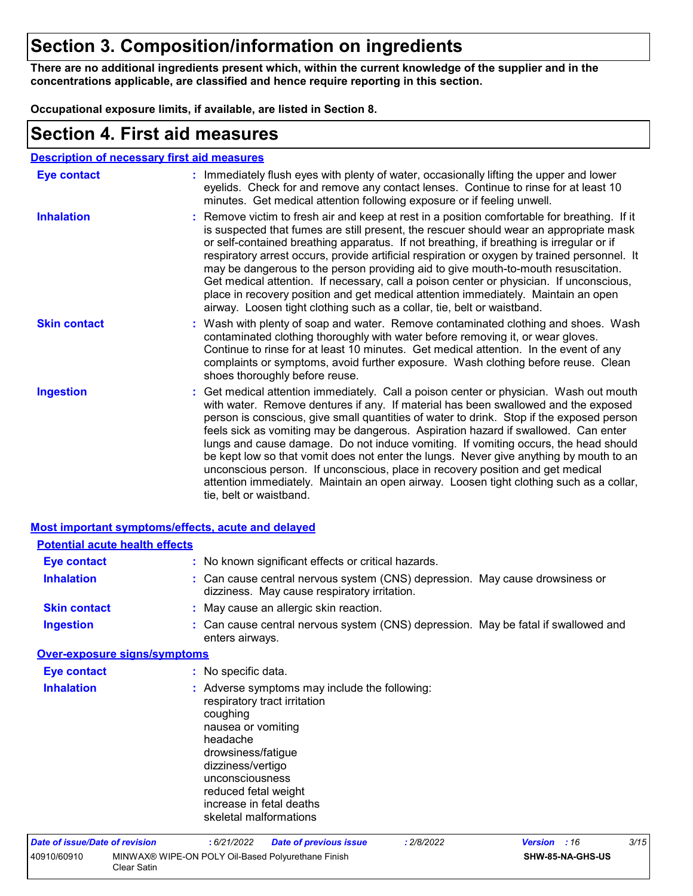### **Section 3. Composition/information on ingredients**

**There are no additional ingredients present which, within the current knowledge of the supplier and in the concentrations applicable, are classified and hence require reporting in this section.**

**Occupational exposure limits, if available, are listed in Section 8.**

### **Section 4. First aid measures**

| <b>Description of necessary first aid measures</b> |
|----------------------------------------------------|
|----------------------------------------------------|

| Eye contact         | : Immediately flush eyes with plenty of water, occasionally lifting the upper and lower<br>eyelids. Check for and remove any contact lenses. Continue to rinse for at least 10<br>minutes. Get medical attention following exposure or if feeling unwell.                                                                                                                                                                                                                                                                                                                                                                                                                                                                                               |
|---------------------|---------------------------------------------------------------------------------------------------------------------------------------------------------------------------------------------------------------------------------------------------------------------------------------------------------------------------------------------------------------------------------------------------------------------------------------------------------------------------------------------------------------------------------------------------------------------------------------------------------------------------------------------------------------------------------------------------------------------------------------------------------|
| <b>Inhalation</b>   | : Remove victim to fresh air and keep at rest in a position comfortable for breathing. If it<br>is suspected that fumes are still present, the rescuer should wear an appropriate mask<br>or self-contained breathing apparatus. If not breathing, if breathing is irregular or if<br>respiratory arrest occurs, provide artificial respiration or oxygen by trained personnel. It<br>may be dangerous to the person providing aid to give mouth-to-mouth resuscitation.<br>Get medical attention. If necessary, call a poison center or physician. If unconscious,<br>place in recovery position and get medical attention immediately. Maintain an open<br>airway. Loosen tight clothing such as a collar, tie, belt or waistband.                    |
| <b>Skin contact</b> | : Wash with plenty of soap and water. Remove contaminated clothing and shoes. Wash<br>contaminated clothing thoroughly with water before removing it, or wear gloves.<br>Continue to rinse for at least 10 minutes. Get medical attention. In the event of any<br>complaints or symptoms, avoid further exposure. Wash clothing before reuse. Clean<br>shoes thoroughly before reuse.                                                                                                                                                                                                                                                                                                                                                                   |
| <b>Ingestion</b>    | : Get medical attention immediately. Call a poison center or physician. Wash out mouth<br>with water. Remove dentures if any. If material has been swallowed and the exposed<br>person is conscious, give small quantities of water to drink. Stop if the exposed person<br>feels sick as vomiting may be dangerous. Aspiration hazard if swallowed. Can enter<br>lungs and cause damage. Do not induce vomiting. If vomiting occurs, the head should<br>be kept low so that vomit does not enter the lungs. Never give anything by mouth to an<br>unconscious person. If unconscious, place in recovery position and get medical<br>attention immediately. Maintain an open airway. Loosen tight clothing such as a collar,<br>tie, belt or waistband. |

| <b>Most important symptoms/effects, acute and delayed</b> |                                                                                                                                                                                                                                                                         |
|-----------------------------------------------------------|-------------------------------------------------------------------------------------------------------------------------------------------------------------------------------------------------------------------------------------------------------------------------|
| <b>Potential acute health effects</b>                     |                                                                                                                                                                                                                                                                         |
| Eye contact                                               | : No known significant effects or critical hazards.                                                                                                                                                                                                                     |
| <b>Inhalation</b>                                         | : Can cause central nervous system (CNS) depression. May cause drowsiness or<br>dizziness. May cause respiratory irritation.                                                                                                                                            |
| <b>Skin contact</b>                                       | : May cause an allergic skin reaction.                                                                                                                                                                                                                                  |
| <b>Ingestion</b>                                          | : Can cause central nervous system (CNS) depression. May be fatal if swallowed and<br>enters airways.                                                                                                                                                                   |
| <b>Over-exposure signs/symptoms</b>                       |                                                                                                                                                                                                                                                                         |
| <b>Eye contact</b>                                        | : No specific data.                                                                                                                                                                                                                                                     |
| <b>Inhalation</b>                                         | : Adverse symptoms may include the following:<br>respiratory tract irritation<br>coughing<br>nausea or vomiting<br>headache<br>drowsiness/fatigue<br>dizziness/vertigo<br>unconsciousness<br>reduced fetal weight<br>increase in fetal deaths<br>skeletal malformations |
| <b>Date of issue/Date of revision</b>                     | 3/15<br>:6/21/2022<br><b>Date of previous issue</b><br>: 2/8/2022<br>:16<br><b>Version</b>                                                                                                                                                                              |

| Pate of Board Pate of Ictional |                                                                   | <b>Pate of previous issue</b> |
|--------------------------------|-------------------------------------------------------------------|-------------------------------|
| 40910/60910                    | MINWAX® WIPE-ON POLY Oil-Based Polyurethane Finish<br>Clear Satin |                               |
|                                |                                                                   |                               |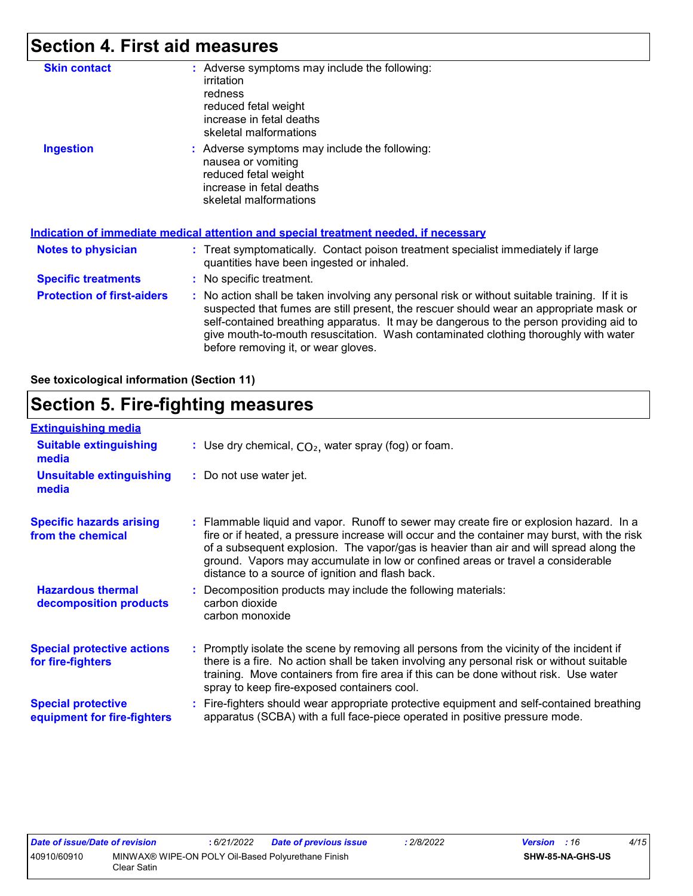### **Section 4. First aid measures**

| <b>Skin contact</b>               | : Adverse symptoms may include the following:<br>irritation<br>redness<br>reduced fetal weight<br>increase in fetal deaths<br>skeletal malformations                                                                                                                                                                                                                                                            |
|-----------------------------------|-----------------------------------------------------------------------------------------------------------------------------------------------------------------------------------------------------------------------------------------------------------------------------------------------------------------------------------------------------------------------------------------------------------------|
| <b>Ingestion</b>                  | : Adverse symptoms may include the following:<br>nausea or vomiting<br>reduced fetal weight<br>increase in fetal deaths<br>skeletal malformations<br>Indication of immediate medical attention and special treatment needed, if necessary                                                                                                                                                                       |
| <b>Notes to physician</b>         | : Treat symptomatically. Contact poison treatment specialist immediately if large<br>quantities have been ingested or inhaled.                                                                                                                                                                                                                                                                                  |
| <b>Specific treatments</b>        | : No specific treatment.                                                                                                                                                                                                                                                                                                                                                                                        |
| <b>Protection of first-aiders</b> | : No action shall be taken involving any personal risk or without suitable training. If it is<br>suspected that fumes are still present, the rescuer should wear an appropriate mask or<br>self-contained breathing apparatus. It may be dangerous to the person providing aid to<br>give mouth-to-mouth resuscitation. Wash contaminated clothing thoroughly with water<br>before removing it, or wear gloves. |

#### **See toxicological information (Section 11)**

### **Section 5. Fire-fighting measures**

| <b>Extinguishing media</b>                               |                                                                                                                                                                                                                                                                                                                                                                                                                          |
|----------------------------------------------------------|--------------------------------------------------------------------------------------------------------------------------------------------------------------------------------------------------------------------------------------------------------------------------------------------------------------------------------------------------------------------------------------------------------------------------|
| <b>Suitable extinguishing</b><br>media                   | : Use dry chemical, $CO2$ , water spray (fog) or foam.                                                                                                                                                                                                                                                                                                                                                                   |
| <b>Unsuitable extinguishing</b><br>media                 | : Do not use water jet.                                                                                                                                                                                                                                                                                                                                                                                                  |
| <b>Specific hazards arising</b><br>from the chemical     | : Flammable liquid and vapor. Runoff to sewer may create fire or explosion hazard. In a<br>fire or if heated, a pressure increase will occur and the container may burst, with the risk<br>of a subsequent explosion. The vapor/gas is heavier than air and will spread along the<br>ground. Vapors may accumulate in low or confined areas or travel a considerable<br>distance to a source of ignition and flash back. |
| <b>Hazardous thermal</b><br>decomposition products       | Decomposition products may include the following materials:<br>carbon dioxide<br>carbon monoxide                                                                                                                                                                                                                                                                                                                         |
| <b>Special protective actions</b><br>for fire-fighters   | : Promptly isolate the scene by removing all persons from the vicinity of the incident if<br>there is a fire. No action shall be taken involving any personal risk or without suitable<br>training. Move containers from fire area if this can be done without risk. Use water<br>spray to keep fire-exposed containers cool.                                                                                            |
| <b>Special protective</b><br>equipment for fire-fighters | Fire-fighters should wear appropriate protective equipment and self-contained breathing<br>apparatus (SCBA) with a full face-piece operated in positive pressure mode.                                                                                                                                                                                                                                                   |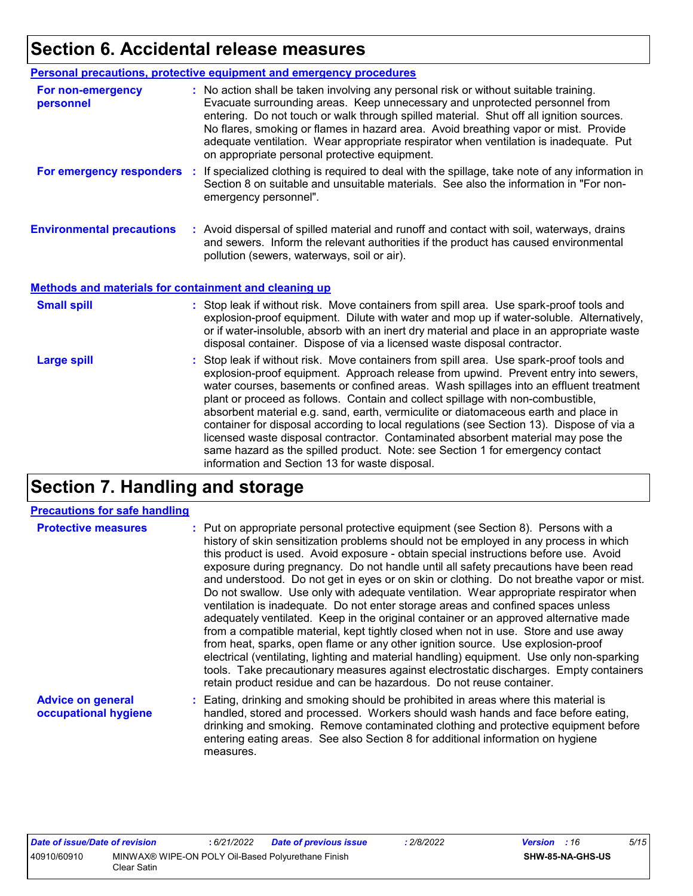### **Section 6. Accidental release measures**

|                                                              | Personal precautions, protective equipment and emergency procedures                                                                                                                                                                                                                                                                                                                                                                                                                                                                                                                                                                                                                                                                                                  |
|--------------------------------------------------------------|----------------------------------------------------------------------------------------------------------------------------------------------------------------------------------------------------------------------------------------------------------------------------------------------------------------------------------------------------------------------------------------------------------------------------------------------------------------------------------------------------------------------------------------------------------------------------------------------------------------------------------------------------------------------------------------------------------------------------------------------------------------------|
| For non-emergency<br>personnel                               | : No action shall be taken involving any personal risk or without suitable training.<br>Evacuate surrounding areas. Keep unnecessary and unprotected personnel from<br>entering. Do not touch or walk through spilled material. Shut off all ignition sources.<br>No flares, smoking or flames in hazard area. Avoid breathing vapor or mist. Provide<br>adequate ventilation. Wear appropriate respirator when ventilation is inadequate. Put<br>on appropriate personal protective equipment.                                                                                                                                                                                                                                                                      |
|                                                              | For emergency responders : If specialized clothing is required to deal with the spillage, take note of any information in<br>Section 8 on suitable and unsuitable materials. See also the information in "For non-<br>emergency personnel".                                                                                                                                                                                                                                                                                                                                                                                                                                                                                                                          |
| <b>Environmental precautions</b>                             | : Avoid dispersal of spilled material and runoff and contact with soil, waterways, drains<br>and sewers. Inform the relevant authorities if the product has caused environmental<br>pollution (sewers, waterways, soil or air).                                                                                                                                                                                                                                                                                                                                                                                                                                                                                                                                      |
| <b>Methods and materials for containment and cleaning up</b> |                                                                                                                                                                                                                                                                                                                                                                                                                                                                                                                                                                                                                                                                                                                                                                      |
| <b>Small spill</b>                                           | : Stop leak if without risk. Move containers from spill area. Use spark-proof tools and<br>explosion-proof equipment. Dilute with water and mop up if water-soluble. Alternatively,<br>or if water-insoluble, absorb with an inert dry material and place in an appropriate waste<br>disposal container. Dispose of via a licensed waste disposal contractor.                                                                                                                                                                                                                                                                                                                                                                                                        |
| <b>Large spill</b>                                           | : Stop leak if without risk. Move containers from spill area. Use spark-proof tools and<br>explosion-proof equipment. Approach release from upwind. Prevent entry into sewers,<br>water courses, basements or confined areas. Wash spillages into an effluent treatment<br>plant or proceed as follows. Contain and collect spillage with non-combustible,<br>absorbent material e.g. sand, earth, vermiculite or diatomaceous earth and place in<br>container for disposal according to local regulations (see Section 13). Dispose of via a<br>licensed waste disposal contractor. Contaminated absorbent material may pose the<br>same hazard as the spilled product. Note: see Section 1 for emergency contact<br>information and Section 13 for waste disposal. |

### **Section 7. Handling and storage**

#### **Precautions for safe handling**

| <b>Protective measures</b>                       | : Put on appropriate personal protective equipment (see Section 8). Persons with a<br>history of skin sensitization problems should not be employed in any process in which<br>this product is used. Avoid exposure - obtain special instructions before use. Avoid<br>exposure during pregnancy. Do not handle until all safety precautions have been read<br>and understood. Do not get in eyes or on skin or clothing. Do not breathe vapor or mist.<br>Do not swallow. Use only with adequate ventilation. Wear appropriate respirator when<br>ventilation is inadequate. Do not enter storage areas and confined spaces unless<br>adequately ventilated. Keep in the original container or an approved alternative made<br>from a compatible material, kept tightly closed when not in use. Store and use away<br>from heat, sparks, open flame or any other ignition source. Use explosion-proof<br>electrical (ventilating, lighting and material handling) equipment. Use only non-sparking<br>tools. Take precautionary measures against electrostatic discharges. Empty containers<br>retain product residue and can be hazardous. Do not reuse container. |
|--------------------------------------------------|----------------------------------------------------------------------------------------------------------------------------------------------------------------------------------------------------------------------------------------------------------------------------------------------------------------------------------------------------------------------------------------------------------------------------------------------------------------------------------------------------------------------------------------------------------------------------------------------------------------------------------------------------------------------------------------------------------------------------------------------------------------------------------------------------------------------------------------------------------------------------------------------------------------------------------------------------------------------------------------------------------------------------------------------------------------------------------------------------------------------------------------------------------------------|
| <b>Advice on general</b><br>occupational hygiene | : Eating, drinking and smoking should be prohibited in areas where this material is<br>handled, stored and processed. Workers should wash hands and face before eating,<br>drinking and smoking. Remove contaminated clothing and protective equipment before<br>entering eating areas. See also Section 8 for additional information on hygiene                                                                                                                                                                                                                                                                                                                                                                                                                                                                                                                                                                                                                                                                                                                                                                                                                     |

measures.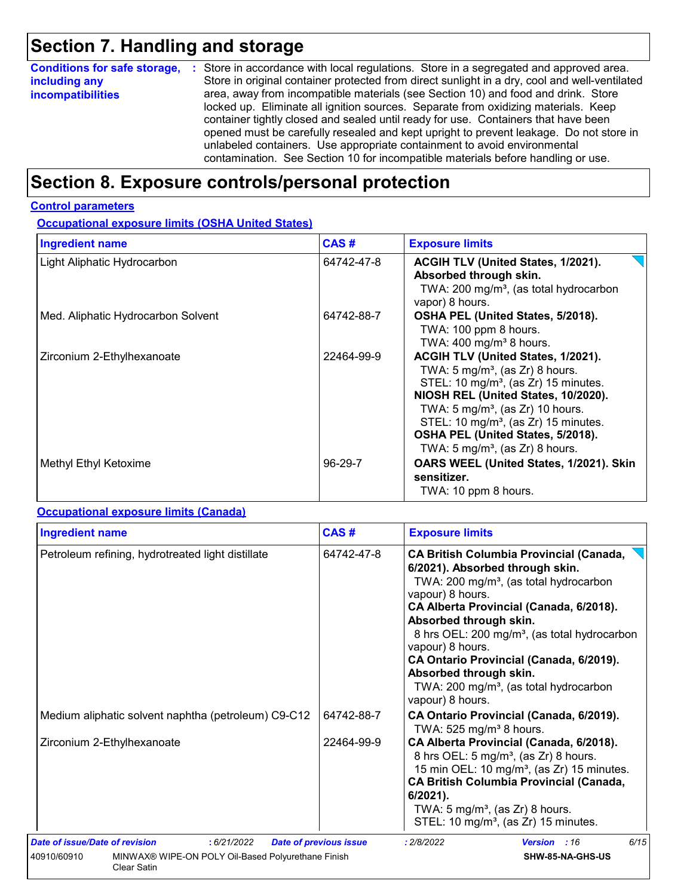## **Section 7. Handling and storage**

|                          | <b>Conditions for safe storage, :</b> Store in accordance with local regulations. Store in a segregated and approved area. |
|--------------------------|----------------------------------------------------------------------------------------------------------------------------|
| including any            | Store in original container protected from direct sunlight in a dry, cool and well-ventilated                              |
| <i>incompatibilities</i> | area, away from incompatible materials (see Section 10) and food and drink. Store                                          |
|                          | locked up. Eliminate all ignition sources. Separate from oxidizing materials. Keep                                         |
|                          | container tightly closed and sealed until ready for use. Containers that have been                                         |
|                          | opened must be carefully resealed and kept upright to prevent leakage. Do not store in                                     |
|                          | unlabeled containers. Use appropriate containment to avoid environmental                                                   |
|                          | contamination. See Section 10 for incompatible materials before handling or use.                                           |

### **Section 8. Exposure controls/personal protection**

#### **Control parameters**

**Occupational exposure limits (OSHA United States)**

| <b>Ingredient name</b>             | CAS#       | <b>Exposure limits</b>                                                                                                                                                                                                                                                                                                                                             |
|------------------------------------|------------|--------------------------------------------------------------------------------------------------------------------------------------------------------------------------------------------------------------------------------------------------------------------------------------------------------------------------------------------------------------------|
| Light Aliphatic Hydrocarbon        | 64742-47-8 | ACGIH TLV (United States, 1/2021).<br>Absorbed through skin.<br>TWA: 200 mg/m <sup>3</sup> , (as total hydrocarbon<br>vapor) 8 hours.                                                                                                                                                                                                                              |
| Med. Aliphatic Hydrocarbon Solvent | 64742-88-7 | OSHA PEL (United States, 5/2018).<br>TWA: 100 ppm 8 hours.<br>TWA: $400 \text{ mg/m}^3$ 8 hours.                                                                                                                                                                                                                                                                   |
| Zirconium 2-Ethylhexanoate         | 22464-99-9 | ACGIH TLV (United States, 1/2021).<br>TWA: $5 \text{ mg/m}^3$ , (as Zr) 8 hours.<br>STEL: 10 mg/m <sup>3</sup> , (as Zr) 15 minutes.<br>NIOSH REL (United States, 10/2020).<br>TWA: $5 \text{ mg/m}^3$ , (as Zr) 10 hours.<br>STEL: 10 mg/m <sup>3</sup> , (as Zr) 15 minutes.<br>OSHA PEL (United States, 5/2018).<br>TWA: 5 mg/m <sup>3</sup> , (as Zr) 8 hours. |
| Methyl Ethyl Ketoxime              | 96-29-7    | OARS WEEL (United States, 1/2021). Skin<br>sensitizer.<br>TWA: 10 ppm 8 hours.                                                                                                                                                                                                                                                                                     |

#### **Occupational exposure limits (Canada)**

| <b>Ingredient name</b>                                                                  | CAS#                          | <b>Exposure limits</b>                                                                                                                                                                                                                                                                                                                                                                                                                                          |  |  |
|-----------------------------------------------------------------------------------------|-------------------------------|-----------------------------------------------------------------------------------------------------------------------------------------------------------------------------------------------------------------------------------------------------------------------------------------------------------------------------------------------------------------------------------------------------------------------------------------------------------------|--|--|
| Petroleum refining, hydrotreated light distillate                                       | 64742-47-8                    | <b>CA British Columbia Provincial (Canada,</b><br>6/2021). Absorbed through skin.<br>TWA: 200 mg/m <sup>3</sup> , (as total hydrocarbon<br>vapour) 8 hours.<br>CA Alberta Provincial (Canada, 6/2018).<br>Absorbed through skin.<br>8 hrs OEL: 200 mg/m <sup>3</sup> , (as total hydrocarbon<br>vapour) 8 hours.<br>CA Ontario Provincial (Canada, 6/2019).<br>Absorbed through skin.<br>TWA: 200 mg/m <sup>3</sup> , (as total hydrocarbon<br>vapour) 8 hours. |  |  |
| Medium aliphatic solvent naphtha (petroleum) C9-C12                                     | 64742-88-7                    | CA Ontario Provincial (Canada, 6/2019).<br>TWA: $525$ mg/m <sup>3</sup> 8 hours.                                                                                                                                                                                                                                                                                                                                                                                |  |  |
| Zirconium 2-Ethylhexanoate                                                              | 22464-99-9                    | CA Alberta Provincial (Canada, 6/2018).<br>8 hrs OEL: 5 mg/m <sup>3</sup> , (as Zr) 8 hours.<br>15 min OEL: 10 mg/m <sup>3</sup> , (as Zr) 15 minutes.<br><b>CA British Columbia Provincial (Canada,</b><br>$6/2021$ ).<br>TWA: $5 \text{ mg/m}^3$ , (as Zr) 8 hours.<br>STEL: 10 mg/m <sup>3</sup> , (as Zr) 15 minutes.                                                                                                                                       |  |  |
| <b>Date of issue/Date of revision</b><br>: 6/21/2022                                    | <b>Date of previous issue</b> | 6/15<br>: 2/8/2022<br>Version : 16                                                                                                                                                                                                                                                                                                                                                                                                                              |  |  |
| 40910/60910<br>MINWAX® WIPE-ON POLY Oil-Based Polyurethane Finish<br><b>Clear Satin</b> |                               | SHW-85-NA-GHS-US                                                                                                                                                                                                                                                                                                                                                                                                                                                |  |  |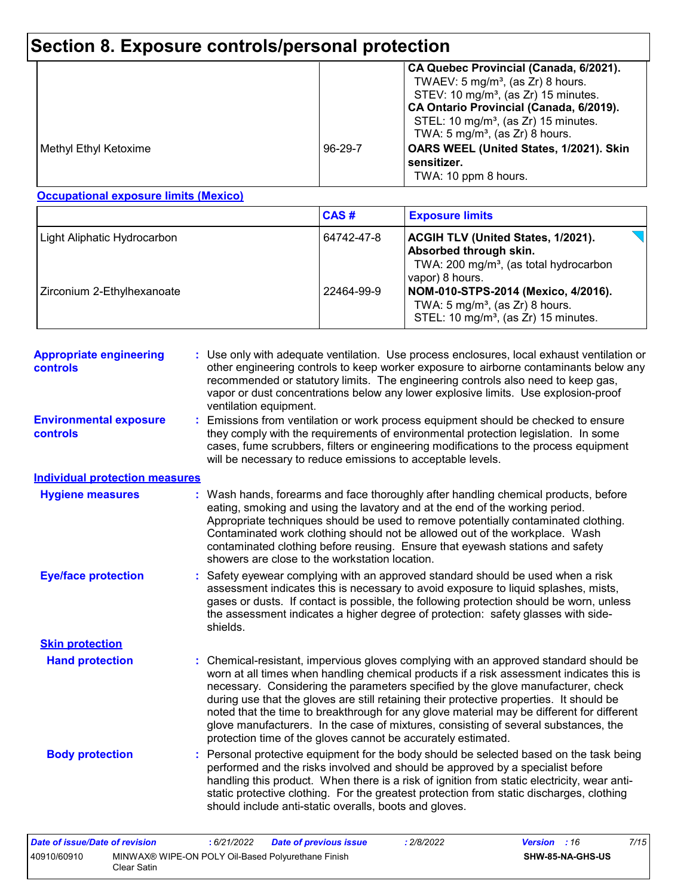## **Section 8. Exposure controls/personal protection**

|                       |               | CA Quebec Provincial (Canada, 6/2021).<br>TWAEV: $5 \text{ mg/m}^3$ , (as Zr) 8 hours.<br>STEV: 10 mg/m <sup>3</sup> , (as Zr) 15 minutes.<br>CA Ontario Provincial (Canada, 6/2019).<br>STEL: 10 mg/m <sup>3</sup> , (as Zr) 15 minutes.<br>TWA: 5 mg/m <sup>3</sup> , (as $Zr$ ) 8 hours. |
|-----------------------|---------------|---------------------------------------------------------------------------------------------------------------------------------------------------------------------------------------------------------------------------------------------------------------------------------------------|
| Methyl Ethyl Ketoxime | $96 - 29 - 7$ | OARS WEEL (United States, 1/2021). Skin<br>sensitizer.<br>TWA: 10 ppm 8 hours.                                                                                                                                                                                                              |

#### **Occupational exposure limits (Mexico)**

|                             | <b>CAS#</b> | <b>Exposure limits</b>                                                                                                                       |
|-----------------------------|-------------|----------------------------------------------------------------------------------------------------------------------------------------------|
| Light Aliphatic Hydrocarbon | 64742-47-8  | <b>ACGIH TLV (United States, 1/2021).</b><br>Absorbed through skin.<br>TWA: 200 mg/m <sup>3</sup> , (as total hydrocarbon<br>vapor) 8 hours. |
| Zirconium 2-Ethylhexanoate  | 22464-99-9  | NOM-010-STPS-2014 (Mexico, 4/2016).<br>TWA: $5 \text{ mg/m}^3$ , (as Zr) 8 hours.<br>STEL: 10 mg/m <sup>3</sup> , (as Zr) 15 minutes.        |

| <b>Appropriate engineering</b><br>controls       |    | : Use only with adequate ventilation. Use process enclosures, local exhaust ventilation or<br>other engineering controls to keep worker exposure to airborne contaminants below any<br>recommended or statutory limits. The engineering controls also need to keep gas,<br>vapor or dust concentrations below any lower explosive limits. Use explosion-proof<br>ventilation equipment.                                                                                                                                                                                                                              |
|--------------------------------------------------|----|----------------------------------------------------------------------------------------------------------------------------------------------------------------------------------------------------------------------------------------------------------------------------------------------------------------------------------------------------------------------------------------------------------------------------------------------------------------------------------------------------------------------------------------------------------------------------------------------------------------------|
| <b>Environmental exposure</b><br><b>controls</b> | ÷. | Emissions from ventilation or work process equipment should be checked to ensure<br>they comply with the requirements of environmental protection legislation. In some<br>cases, fume scrubbers, filters or engineering modifications to the process equipment<br>will be necessary to reduce emissions to acceptable levels.                                                                                                                                                                                                                                                                                        |
| <b>Individual protection measures</b>            |    |                                                                                                                                                                                                                                                                                                                                                                                                                                                                                                                                                                                                                      |
| <b>Hygiene measures</b>                          |    | : Wash hands, forearms and face thoroughly after handling chemical products, before<br>eating, smoking and using the lavatory and at the end of the working period.<br>Appropriate techniques should be used to remove potentially contaminated clothing.<br>Contaminated work clothing should not be allowed out of the workplace. Wash<br>contaminated clothing before reusing. Ensure that eyewash stations and safety<br>showers are close to the workstation location.                                                                                                                                          |
| <b>Eye/face protection</b>                       |    | Safety eyewear complying with an approved standard should be used when a risk<br>assessment indicates this is necessary to avoid exposure to liquid splashes, mists,<br>gases or dusts. If contact is possible, the following protection should be worn, unless<br>the assessment indicates a higher degree of protection: safety glasses with side-<br>shields.                                                                                                                                                                                                                                                     |
| <b>Skin protection</b>                           |    |                                                                                                                                                                                                                                                                                                                                                                                                                                                                                                                                                                                                                      |
| <b>Hand protection</b>                           |    | Chemical-resistant, impervious gloves complying with an approved standard should be<br>worn at all times when handling chemical products if a risk assessment indicates this is<br>necessary. Considering the parameters specified by the glove manufacturer, check<br>during use that the gloves are still retaining their protective properties. It should be<br>noted that the time to breakthrough for any glove material may be different for different<br>glove manufacturers. In the case of mixtures, consisting of several substances, the<br>protection time of the gloves cannot be accurately estimated. |
| <b>Body protection</b>                           |    | Personal protective equipment for the body should be selected based on the task being<br>performed and the risks involved and should be approved by a specialist before<br>handling this product. When there is a risk of ignition from static electricity, wear anti-<br>static protective clothing. For the greatest protection from static discharges, clothing<br>should include anti-static overalls, boots and gloves.                                                                                                                                                                                         |

| Date of issue/Date of revision |                                                                   | 6/21/2022 | <b>Date of previous issue</b> | : 2/8/2022 | <b>Version</b> : 16 |                         | 7/15 |
|--------------------------------|-------------------------------------------------------------------|-----------|-------------------------------|------------|---------------------|-------------------------|------|
| 40910/60910                    | MINWAX® WIPE-ON POLY Oil-Based Polyurethane Finish<br>Clear Satin |           |                               |            |                     | <b>SHW-85-NA-GHS-US</b> |      |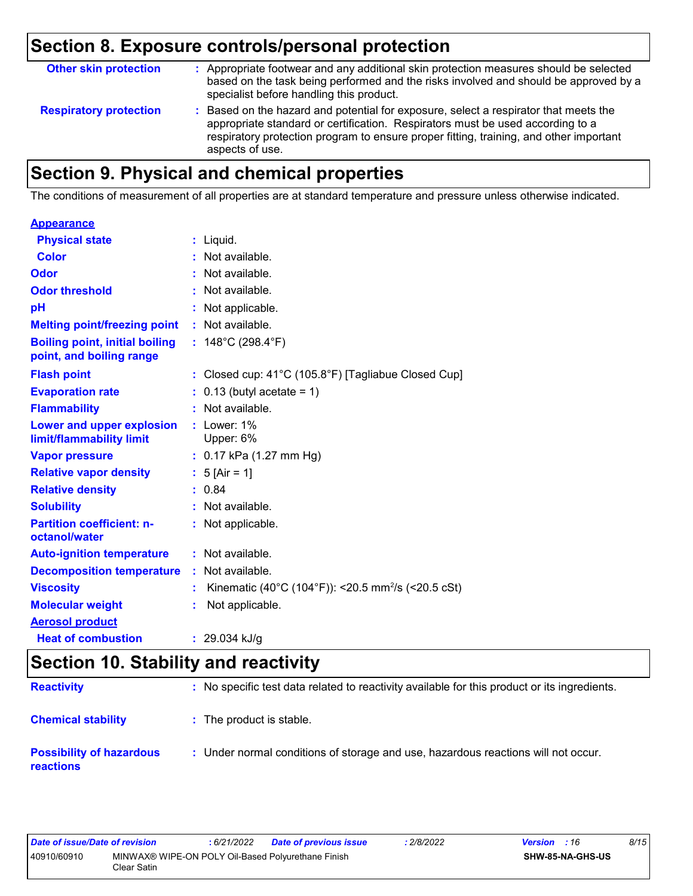## **Section 8. Exposure controls/personal protection**

| <b>Other skin protection</b>  | : Appropriate footwear and any additional skin protection measures should be selected<br>based on the task being performed and the risks involved and should be approved by a<br>specialist before handling this product.                                                           |
|-------------------------------|-------------------------------------------------------------------------------------------------------------------------------------------------------------------------------------------------------------------------------------------------------------------------------------|
| <b>Respiratory protection</b> | : Based on the hazard and potential for exposure, select a respirator that meets the<br>appropriate standard or certification. Respirators must be used according to a<br>respiratory protection program to ensure proper fitting, training, and other important<br>aspects of use. |

## **Section 9. Physical and chemical properties**

The conditions of measurement of all properties are at standard temperature and pressure unless otherwise indicated.

| <b>Appearance</b>                                                 |                                                                |
|-------------------------------------------------------------------|----------------------------------------------------------------|
| <b>Physical state</b>                                             | $:$ Liquid.                                                    |
| <b>Color</b>                                                      | : Not available.                                               |
| Odor                                                              | : Not available.                                               |
| <b>Odor threshold</b>                                             | : Not available.                                               |
| рH                                                                | : Not applicable.                                              |
| <b>Melting point/freezing point</b>                               | : Not available.                                               |
| <b>Boiling point, initial boiling</b><br>point, and boiling range | : $148^{\circ}$ C (298.4 $^{\circ}$ F)                         |
| <b>Flash point</b>                                                | : Closed cup: 41°C (105.8°F) [Tagliabue Closed Cup]            |
| <b>Evaporation rate</b>                                           | $0.13$ (butyl acetate = 1)                                     |
| <b>Flammability</b>                                               | : Not available.                                               |
| Lower and upper explosion<br>limit/flammability limit             | $:$ Lower: 1%<br>Upper: 6%                                     |
| <b>Vapor pressure</b>                                             | : $0.17$ kPa (1.27 mm Hg)                                      |
| <b>Relative vapor density</b>                                     | : $5$ [Air = 1]                                                |
| <b>Relative density</b>                                           | : 0.84                                                         |
| <b>Solubility</b>                                                 | : Not available.                                               |
| <b>Partition coefficient: n-</b><br>octanol/water                 | : Not applicable.                                              |
| <b>Auto-ignition temperature</b>                                  | : Not available.                                               |
| <b>Decomposition temperature</b>                                  | : Not available.                                               |
| <b>Viscosity</b>                                                  | Kinematic (40°C (104°F)): <20.5 mm <sup>2</sup> /s (<20.5 cSt) |
| <b>Molecular weight</b>                                           | Not applicable.                                                |
| <b>Aerosol product</b>                                            |                                                                |
| <b>Heat of combustion</b>                                         | : 29.034 kJ/g                                                  |

## **Section 10. Stability and reactivity**

| <b>Reactivity</b>                                   | : No specific test data related to reactivity available for this product or its ingredients. |
|-----------------------------------------------------|----------------------------------------------------------------------------------------------|
| <b>Chemical stability</b>                           | : The product is stable.                                                                     |
| <b>Possibility of hazardous</b><br><b>reactions</b> | : Under normal conditions of storage and use, hazardous reactions will not occur.            |

| Date of issue/Date of revision                                                   |  | : 6/21/2022 | Date of previous issue  | 2/8/2022 | <b>Version</b> : 16 | 8/15 |
|----------------------------------------------------------------------------------|--|-------------|-------------------------|----------|---------------------|------|
| 40910/60910<br>MINWAX® WIPE-ON POLY Oil-Based Polyurethane Finish<br>Clear Satin |  |             | <b>SHW-85-NA-GHS-US</b> |          |                     |      |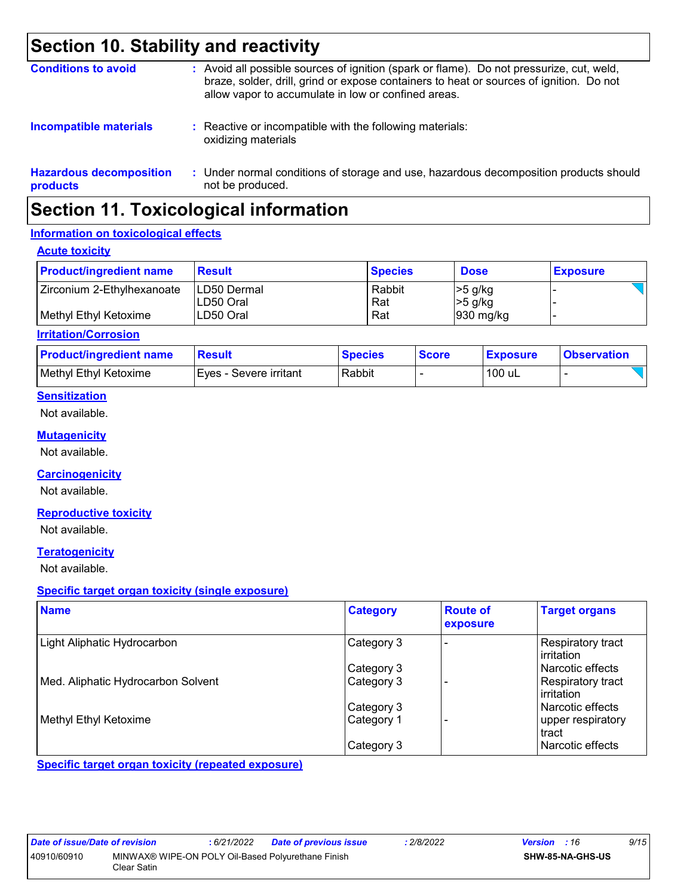### **Section 10. Stability and reactivity**

| <b>Conditions to avoid</b>                 | : Avoid all possible sources of ignition (spark or flame). Do not pressurize, cut, weld,<br>braze, solder, drill, grind or expose containers to heat or sources of ignition. Do not<br>allow vapor to accumulate in low or confined areas. |
|--------------------------------------------|--------------------------------------------------------------------------------------------------------------------------------------------------------------------------------------------------------------------------------------------|
| <b>Incompatible materials</b>              | : Reactive or incompatible with the following materials:<br>oxidizing materials                                                                                                                                                            |
| <b>Hazardous decomposition</b><br>products | : Under normal conditions of storage and use, hazardous decomposition products should<br>not be produced.                                                                                                                                  |

### **Section 11. Toxicological information**

#### **Information on toxicological effects**

#### **Acute toxicity**

| <b>Product/ingredient name</b> | <b>Result</b>                    | <b>Species</b> | <b>Dose</b>            | <b>Exposure</b> |
|--------------------------------|----------------------------------|----------------|------------------------|-----------------|
| Zirconium 2-Ethylhexanoate     | <b>LD50 Dermal</b><br>ILD50 Oral | Rabbit<br>Rat  | $>5$ g/kg<br>$>5$ g/kg |                 |
| l Methvl Ethvl Ketoxime        | ILD50 Oral                       | Rat            | $930$ mg/kg            |                 |

#### **Irritation/Corrosion**

| <b>Product/ingredient name</b> | Result                   | <b>Species</b> | <b>Score</b> | <b>Exposure</b> | <b>Observation</b> |
|--------------------------------|--------------------------|----------------|--------------|-----------------|--------------------|
| Methyl Ethyl Ketoxime          | I Eves - Severe irritant | Rabbit         |              | 100 uL          |                    |

#### **Sensitization**

Not available.

#### **Mutagenicity**

Not available.

#### **Carcinogenicity**

Not available.

#### **Reproductive toxicity**

Not available.

#### **Teratogenicity**

Not available.

#### **Specific target organ toxicity (single exposure)**

| <b>Name</b>                        | <b>Category</b> | <b>Route of</b><br>exposure | <b>Target organs</b>              |
|------------------------------------|-----------------|-----------------------------|-----------------------------------|
| Light Aliphatic Hydrocarbon        | Category 3      |                             | Respiratory tract<br>l irritation |
|                                    | Category 3      |                             | Narcotic effects                  |
| Med. Aliphatic Hydrocarbon Solvent | Category 3      |                             | Respiratory tract<br>l irritation |
|                                    | Category 3      |                             | l Narcotic effects                |
| Methyl Ethyl Ketoxime              | Category 1      |                             | upper respiratory<br>tract        |
|                                    | Category 3      |                             | l Narcotic effects                |

**Specific target organ toxicity (repeated exposure)**

| Date of issue/Date of revision |                                                                   | : 6/21/2022 | <b>Date of previous issue</b> | .2/8/2022 | <b>Version</b> : 16 |                         | 9/15 |
|--------------------------------|-------------------------------------------------------------------|-------------|-------------------------------|-----------|---------------------|-------------------------|------|
| 40910/60910                    | MINWAX® WIPE-ON POLY Oil-Based Polyurethane Finish<br>Clear Satin |             |                               |           |                     | <b>SHW-85-NA-GHS-US</b> |      |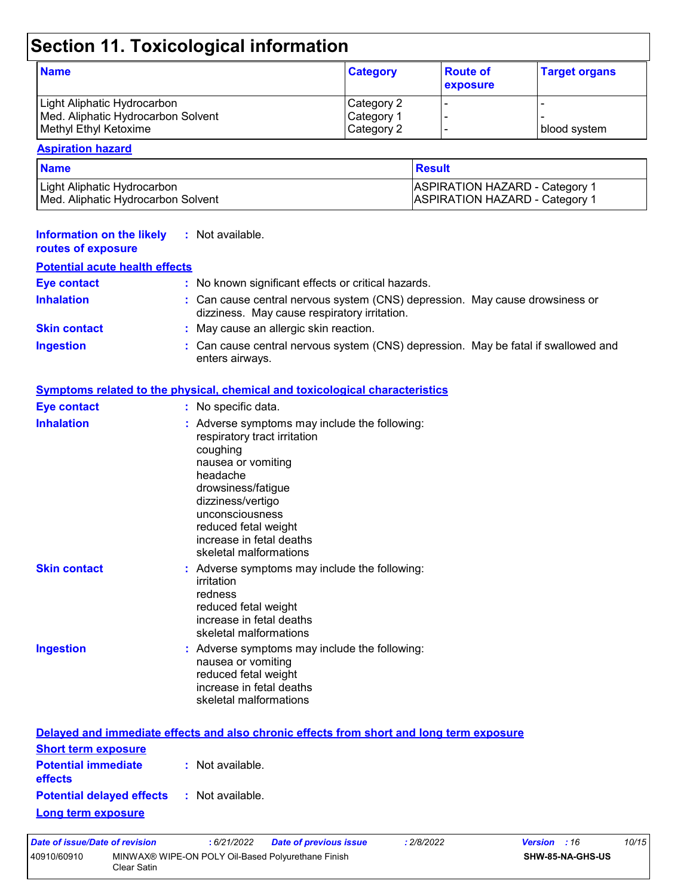## **Section 11. Toxicological information**

| <b>Name</b>                        | <b>Category</b> | <b>Route of</b><br>exposure | <b>Target organs</b> |
|------------------------------------|-----------------|-----------------------------|----------------------|
| Light Aliphatic Hydrocarbon        | Category 2      |                             |                      |
| Med. Aliphatic Hydrocarbon Solvent | Category 1      |                             |                      |
| Methyl Ethyl Ketoxime              | Category 2      |                             | I blood svstem.      |

### **Aspiration hazard**

| <b>Name</b>                        | <b>Result</b>                         |
|------------------------------------|---------------------------------------|
| Light Aliphatic Hydrocarbon_       | <b>ASPIRATION HAZARD - Category 1</b> |
| Med. Aliphatic Hydrocarbon Solvent | <b>ASPIRATION HAZARD - Category 1</b> |

| <b>Information on the likely</b><br>routes of exposure | : Not available.                                                                                                                                                                                                                                                        |
|--------------------------------------------------------|-------------------------------------------------------------------------------------------------------------------------------------------------------------------------------------------------------------------------------------------------------------------------|
| <b>Potential acute health effects</b>                  |                                                                                                                                                                                                                                                                         |
| <b>Eye contact</b>                                     | : No known significant effects or critical hazards.                                                                                                                                                                                                                     |
| <b>Inhalation</b>                                      | : Can cause central nervous system (CNS) depression. May cause drowsiness or<br>dizziness. May cause respiratory irritation.                                                                                                                                            |
| <b>Skin contact</b>                                    | : May cause an allergic skin reaction.                                                                                                                                                                                                                                  |
| <b>Ingestion</b>                                       | : Can cause central nervous system (CNS) depression. May be fatal if swallowed and<br>enters airways.                                                                                                                                                                   |
|                                                        | <b>Symptoms related to the physical, chemical and toxicological characteristics</b>                                                                                                                                                                                     |
| <b>Eye contact</b>                                     | : No specific data.                                                                                                                                                                                                                                                     |
| <b>Inhalation</b>                                      | : Adverse symptoms may include the following:<br>respiratory tract irritation<br>coughing<br>nausea or vomiting<br>headache<br>drowsiness/fatigue<br>dizziness/vertigo<br>unconsciousness<br>reduced fetal weight<br>increase in fetal deaths<br>skeletal malformations |
| <b>Skin contact</b>                                    | : Adverse symptoms may include the following:<br>irritation<br>redness<br>reduced fetal weight<br>increase in fetal deaths<br>skeletal malformations                                                                                                                    |
| <b>Ingestion</b>                                       | : Adverse symptoms may include the following:<br>nausea or vomiting<br>reduced fetal weight<br>increase in fetal deaths<br>skeletal malformations                                                                                                                       |
|                                                        | Delayed and immediate effects and also chronic effects from short and long term exposure                                                                                                                                                                                |
| Short term exposure                                    |                                                                                                                                                                                                                                                                         |

| <b>Short term exposure</b>                   |                  |
|----------------------------------------------|------------------|
| <b>Potential immediate</b><br><b>effects</b> | : Not available. |
| <b>Potential delayed effects</b>             | : Not available. |
| <b>Long term exposure</b>                    |                  |

| Date of issue/Date of revision |                                                                    | : 6/21/2022 | <b>Date of previous issue</b> | : 2/8/2022 | <b>Version</b> : 16 |                         | 10/15 |
|--------------------------------|--------------------------------------------------------------------|-------------|-------------------------------|------------|---------------------|-------------------------|-------|
| 40910/60910                    | MINWAX® WIPE-ON POLY Oil-Based Polyurethane Finish<br>Clear Satin. |             |                               |            |                     | <b>SHW-85-NA-GHS-US</b> |       |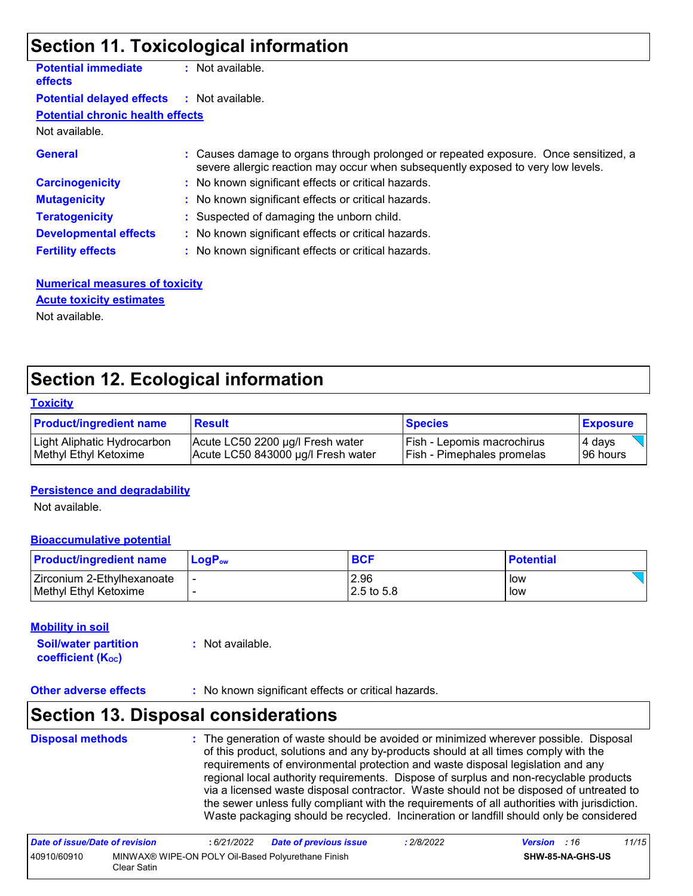### **Section 11. Toxicological information**

| <b>Potential immediate</b><br><b>effects</b> | : Not available.                                                                                                                                                         |
|----------------------------------------------|--------------------------------------------------------------------------------------------------------------------------------------------------------------------------|
| <b>Potential delayed effects</b>             | : Not available.                                                                                                                                                         |
| <b>Potential chronic health effects</b>      |                                                                                                                                                                          |
| Not available.                               |                                                                                                                                                                          |
| <b>General</b>                               | : Causes damage to organs through prolonged or repeated exposure. Once sensitized, a<br>severe allergic reaction may occur when subsequently exposed to very low levels. |
| <b>Carcinogenicity</b>                       | : No known significant effects or critical hazards.                                                                                                                      |
| <b>Mutagenicity</b>                          | : No known significant effects or critical hazards.                                                                                                                      |
| <b>Teratogenicity</b>                        | : Suspected of damaging the unborn child.                                                                                                                                |
| <b>Developmental effects</b>                 | : No known significant effects or critical hazards.                                                                                                                      |
| <b>Fertility effects</b>                     | : No known significant effects or critical hazards.                                                                                                                      |
|                                              |                                                                                                                                                                          |

**Numerical measures of toxicity** Not available. **Acute toxicity estimates**

### **Section 12. Ecological information**

#### **Toxicity**

| <b>Product/ingredient name</b> | <b>Result</b>                      | <b>Species</b>                    | <b>Exposure</b> |
|--------------------------------|------------------------------------|-----------------------------------|-----------------|
| Light Aliphatic Hydrocarbon    | Acute LC50 2200 µg/l Fresh water   | l Fish - Lepomis macrochirus      | 4 days          |
| Methyl Ethyl Ketoxime          | Acute LC50 843000 µg/l Fresh water | <b>Fish - Pimephales promelas</b> | 96 hours        |

#### **Persistence and degradability**

Not available.

#### **Bioaccumulative potential**

| <b>Product/ingredient name</b> | <b>LogP</b> <sub>ow</sub> | <b>BCF</b>  | <b>Potential</b> |
|--------------------------------|---------------------------|-------------|------------------|
| Zirconium 2-Ethylhexanoate     |                           | 2.96        | low              |
| Methyl Ethyl Ketoxime          |                           | 12.5 to 5.8 | low              |

#### **Mobility in soil**

**Soil/water partition coefficient (KOC) :** Not available.

**Other adverse effects** : No known significant effects or critical hazards.

### **Section 13. Disposal considerations**

| <b>Disposal methods</b> | : The generation of waste should be avoided or minimized wherever possible. Disposal<br>of this product, solutions and any by-products should at all times comply with the<br>requirements of environmental protection and waste disposal legislation and any<br>regional local authority requirements. Dispose of surplus and non-recyclable products<br>via a licensed waste disposal contractor. Waste should not be disposed of untreated to<br>the sewer unless fully compliant with the requirements of all authorities with jurisdiction.<br>Waste packaging should be recycled. Incineration or landfill should only be considered |
|-------------------------|--------------------------------------------------------------------------------------------------------------------------------------------------------------------------------------------------------------------------------------------------------------------------------------------------------------------------------------------------------------------------------------------------------------------------------------------------------------------------------------------------------------------------------------------------------------------------------------------------------------------------------------------|
|                         |                                                                                                                                                                                                                                                                                                                                                                                                                                                                                                                                                                                                                                            |

| Date of issue/Date of revision |                                                                   | : 6/21/2022 | <b>Date of previous issue</b> | : 2/8/2022 | <b>Version</b> : 16 |                         | 11/15 |
|--------------------------------|-------------------------------------------------------------------|-------------|-------------------------------|------------|---------------------|-------------------------|-------|
| 40910/60910                    | MINWAX® WIPE-ON POLY Oil-Based Polyurethane Finish<br>Clear Satin |             |                               |            |                     | <b>SHW-85-NA-GHS-US</b> |       |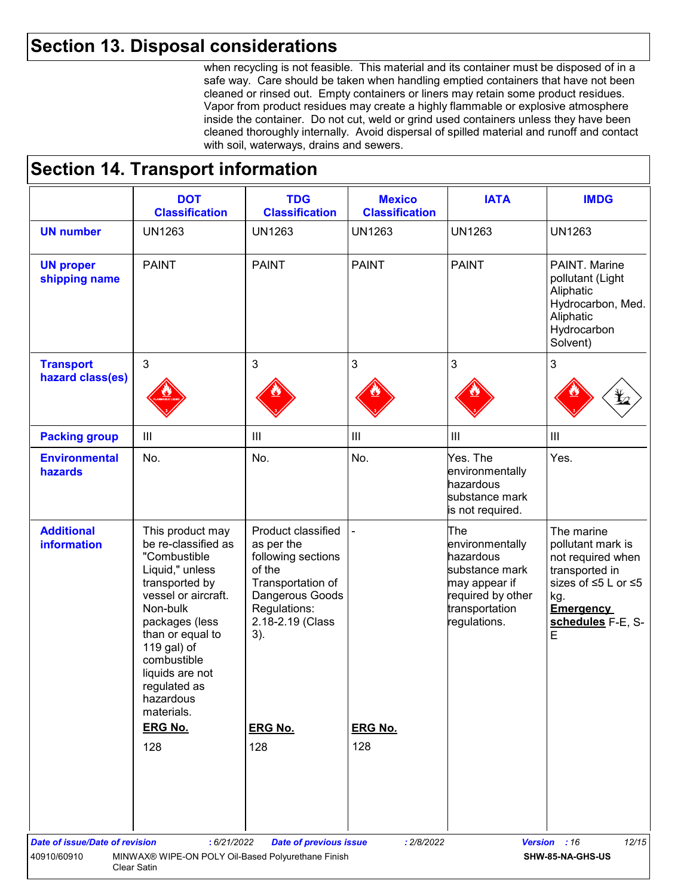### **Section 13. Disposal considerations**

when recycling is not feasible. This material and its container must be disposed of in a safe way. Care should be taken when handling emptied containers that have not been cleaned or rinsed out. Empty containers or liners may retain some product residues. Vapor from product residues may create a highly flammable or explosive atmosphere inside the container. Do not cut, weld or grind used containers unless they have been cleaned thoroughly internally. Avoid dispersal of spilled material and runoff and contact with soil, waterways, drains and sewers.

### **Section 14. Transport information**

|                                         | <b>DOT</b><br><b>Classification</b>                                                                                                                                                                                                                               | <b>TDG</b><br><b>Classification</b>                                                                                                                 | <b>Mexico</b><br><b>Classification</b> | <b>IATA</b>                                                                                                                   | <b>IMDG</b>                                                                                                                                        |
|-----------------------------------------|-------------------------------------------------------------------------------------------------------------------------------------------------------------------------------------------------------------------------------------------------------------------|-----------------------------------------------------------------------------------------------------------------------------------------------------|----------------------------------------|-------------------------------------------------------------------------------------------------------------------------------|----------------------------------------------------------------------------------------------------------------------------------------------------|
| <b>UN number</b>                        | <b>UN1263</b>                                                                                                                                                                                                                                                     | <b>UN1263</b>                                                                                                                                       | <b>UN1263</b>                          | <b>UN1263</b>                                                                                                                 | <b>UN1263</b>                                                                                                                                      |
| <b>UN proper</b><br>shipping name       | <b>PAINT</b>                                                                                                                                                                                                                                                      | <b>PAINT</b>                                                                                                                                        | <b>PAINT</b>                           | <b>PAINT</b>                                                                                                                  | PAINT. Marine<br>pollutant (Light<br>Aliphatic<br>Hydrocarbon, Med.<br>Aliphatic<br>Hydrocarbon<br>Solvent)                                        |
| <b>Transport</b><br>hazard class(es)    | 3                                                                                                                                                                                                                                                                 | 3                                                                                                                                                   | 3                                      | 3                                                                                                                             | 3                                                                                                                                                  |
|                                         |                                                                                                                                                                                                                                                                   |                                                                                                                                                     |                                        |                                                                                                                               |                                                                                                                                                    |
| <b>Packing group</b>                    | $\ensuremath{\mathsf{III}}\xspace$                                                                                                                                                                                                                                | $\mathbf{III}$                                                                                                                                      | $\mathop{\rm III}$                     | $\mathop{\rm III}\nolimits$                                                                                                   | $\ensuremath{\mathsf{III}}\xspace$                                                                                                                 |
| <b>Environmental</b><br>hazards         | No.                                                                                                                                                                                                                                                               | No.                                                                                                                                                 | No.                                    | Yes. The<br>environmentally<br>hazardous<br>substance mark<br>is not required.                                                | Yes.                                                                                                                                               |
| <b>Additional</b><br><b>information</b> | This product may<br>be re-classified as<br>"Combustible<br>Liquid," unless<br>transported by<br>vessel or aircraft.<br>Non-bulk<br>packages (less<br>than or equal to<br>119 gal) of<br>combustible<br>liquids are not<br>regulated as<br>hazardous<br>materials. | Product classified<br>as per the<br>following sections<br>of the<br>Transportation of<br>Dangerous Goods<br>Regulations:<br>2.18-2.19 (Class<br>3). |                                        | The<br>environmentally<br>hazardous<br>substance mark<br>may appear if<br>required by other<br>transportation<br>regulations. | The marine<br>pollutant mark is<br>not required when<br>transported in<br>sizes of ≤5 L or ≤5<br>kg.<br><b>Emergency</b><br>schedules F-E, S-<br>E |
|                                         | <b>ERG No.</b>                                                                                                                                                                                                                                                    | <b>ERG No.</b>                                                                                                                                      | <b>ERG No.</b>                         |                                                                                                                               |                                                                                                                                                    |
|                                         | 128                                                                                                                                                                                                                                                               | 128                                                                                                                                                 | 128                                    |                                                                                                                               |                                                                                                                                                    |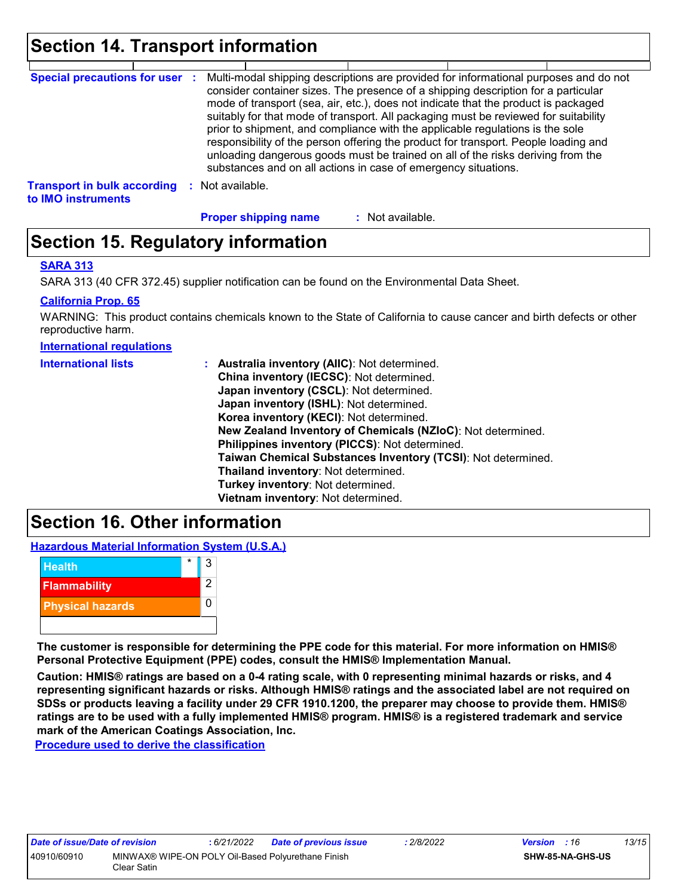### **Section 14. Transport information**

| <b>Special precautions for user :</b>                    |                  | Multi-modal shipping descriptions are provided for informational purposes and do not<br>consider container sizes. The presence of a shipping description for a particular<br>mode of transport (sea, air, etc.), does not indicate that the product is packaged<br>suitably for that mode of transport. All packaging must be reviewed for suitability<br>prior to shipment, and compliance with the applicable regulations is the sole<br>responsibility of the person offering the product for transport. People loading and<br>unloading dangerous goods must be trained on all of the risks deriving from the<br>substances and on all actions in case of emergency situations. |                |  |
|----------------------------------------------------------|------------------|-------------------------------------------------------------------------------------------------------------------------------------------------------------------------------------------------------------------------------------------------------------------------------------------------------------------------------------------------------------------------------------------------------------------------------------------------------------------------------------------------------------------------------------------------------------------------------------------------------------------------------------------------------------------------------------|----------------|--|
| <b>Transport in bulk according</b><br>to IMO instruments | : Not available. |                                                                                                                                                                                                                                                                                                                                                                                                                                                                                                                                                                                                                                                                                     |                |  |
|                                                          |                  | <b>Proper shipping name</b>                                                                                                                                                                                                                                                                                                                                                                                                                                                                                                                                                                                                                                                         | Not available. |  |

### **Section 15. Regulatory information**

#### **SARA 313**

SARA 313 (40 CFR 372.45) supplier notification can be found on the Environmental Data Sheet.

#### **California Prop. 65**

WARNING: This product contains chemicals known to the State of California to cause cancer and birth defects or other reproductive harm.

#### **International regulations**

| <b>International lists</b> | : Australia inventory (AIIC): Not determined.<br>China inventory (IECSC): Not determined.<br>Japan inventory (CSCL): Not determined.<br>Japan inventory (ISHL): Not determined.<br>Korea inventory (KECI): Not determined.<br>New Zealand Inventory of Chemicals (NZIoC): Not determined.<br>Philippines inventory (PICCS): Not determined.<br>Taiwan Chemical Substances Inventory (TCSI): Not determined.<br>Thailand inventory: Not determined.<br>Turkey inventory: Not determined.<br>Vietnam inventory: Not determined. |
|----------------------------|-------------------------------------------------------------------------------------------------------------------------------------------------------------------------------------------------------------------------------------------------------------------------------------------------------------------------------------------------------------------------------------------------------------------------------------------------------------------------------------------------------------------------------|
|----------------------------|-------------------------------------------------------------------------------------------------------------------------------------------------------------------------------------------------------------------------------------------------------------------------------------------------------------------------------------------------------------------------------------------------------------------------------------------------------------------------------------------------------------------------------|

### **Section 16. Other information**

**Hazardous Material Information System (U.S.A.)**



**The customer is responsible for determining the PPE code for this material. For more information on HMIS® Personal Protective Equipment (PPE) codes, consult the HMIS® Implementation Manual.**

**Caution: HMIS® ratings are based on a 0-4 rating scale, with 0 representing minimal hazards or risks, and 4 representing significant hazards or risks. Although HMIS® ratings and the associated label are not required on SDSs or products leaving a facility under 29 CFR 1910.1200, the preparer may choose to provide them. HMIS® ratings are to be used with a fully implemented HMIS® program. HMIS® is a registered trademark and service mark of the American Coatings Association, Inc.**

**Procedure used to derive the classification**